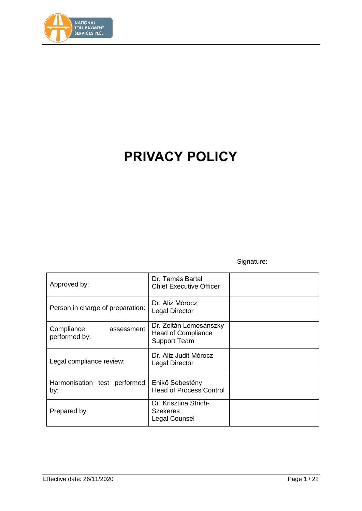

# **PRIVACY POLICY**

# Signature:

| Approved by:                              | Dr. Tamás Bartal<br><b>Chief Executive Officer</b>                         |  |
|-------------------------------------------|----------------------------------------------------------------------------|--|
| Person in charge of preparation:          | Dr. Aliz Mórocz<br><b>Legal Director</b>                                   |  |
| Compliance<br>assessment<br>performed by: | Dr. Zoltán Lemesánszky<br><b>Head of Compliance</b><br><b>Support Team</b> |  |
| Legal compliance review:                  | Dr. Aliz Judit Mórocz<br>Legal Director                                    |  |
| Harmonisation test performed<br>by:       | Enikő Sebestény<br><b>Head of Process Control</b>                          |  |
| Prepared by:                              | Dr. Krisztina Strich-<br><b>Szekeres</b><br>Legal Counsel                  |  |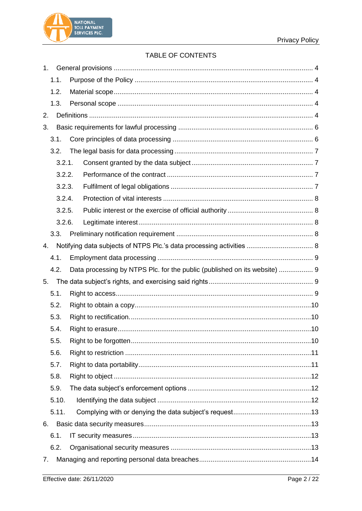



# TABLE OF CONTENTS

|    | 1.     |                                                                           |  |  |  |  |
|----|--------|---------------------------------------------------------------------------|--|--|--|--|
|    | 1.1.   |                                                                           |  |  |  |  |
|    | 1.2.   |                                                                           |  |  |  |  |
|    | 1.3.   |                                                                           |  |  |  |  |
| 2. |        |                                                                           |  |  |  |  |
| 3. |        |                                                                           |  |  |  |  |
|    | 3.1.   |                                                                           |  |  |  |  |
|    | 3.2.   |                                                                           |  |  |  |  |
|    | 3.2.1. |                                                                           |  |  |  |  |
|    | 3.2.2. |                                                                           |  |  |  |  |
|    | 3.2.3. |                                                                           |  |  |  |  |
|    | 3.2.4. |                                                                           |  |  |  |  |
|    | 3.2.5. |                                                                           |  |  |  |  |
|    | 3.2.6. |                                                                           |  |  |  |  |
|    | 3.3.   |                                                                           |  |  |  |  |
| 4. |        |                                                                           |  |  |  |  |
|    | 4.1.   |                                                                           |  |  |  |  |
|    | 4.2.   | Data processing by NTPS Plc. for the public (published on its website)  9 |  |  |  |  |
| 5. |        |                                                                           |  |  |  |  |
|    | 5.1.   |                                                                           |  |  |  |  |
|    | 5.2.   |                                                                           |  |  |  |  |
|    | 5.3.   |                                                                           |  |  |  |  |
|    | 5.4.   |                                                                           |  |  |  |  |
|    | 5.5.   |                                                                           |  |  |  |  |
|    | 5.6.   |                                                                           |  |  |  |  |
|    | 5.7.   |                                                                           |  |  |  |  |
|    | 5.8.   |                                                                           |  |  |  |  |
|    | 5.9.   |                                                                           |  |  |  |  |
|    | 5.10.  |                                                                           |  |  |  |  |
|    | 5.11.  |                                                                           |  |  |  |  |
| 6. |        |                                                                           |  |  |  |  |
|    | 6.1.   |                                                                           |  |  |  |  |
|    | 6.2.   |                                                                           |  |  |  |  |
| 7. |        |                                                                           |  |  |  |  |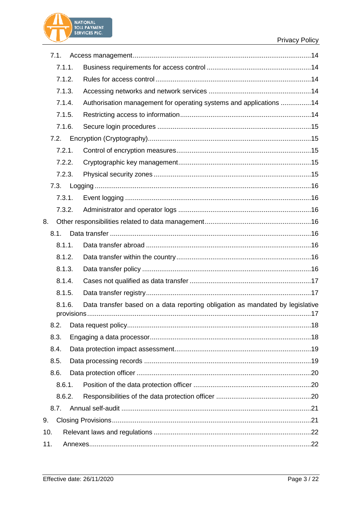# **Privacy Policy**



|                  | 7.1.   |                                                                               |  |
|------------------|--------|-------------------------------------------------------------------------------|--|
|                  | 7.1.1. |                                                                               |  |
|                  | 7.1.2. |                                                                               |  |
|                  | 7.1.3. |                                                                               |  |
|                  | 7.1.4. | Authorisation management for operating systems and applications 14            |  |
|                  | 7.1.5. |                                                                               |  |
|                  | 7.1.6. |                                                                               |  |
|                  | 7.2.   |                                                                               |  |
|                  | 7.2.1. |                                                                               |  |
|                  | 7.2.2. |                                                                               |  |
|                  | 7.2.3. |                                                                               |  |
|                  | 7.3.   |                                                                               |  |
|                  | 7.3.1. |                                                                               |  |
|                  | 7.3.2. |                                                                               |  |
| 8.               |        |                                                                               |  |
|                  | 8.1.   |                                                                               |  |
|                  | 8.1.1. |                                                                               |  |
|                  | 8.1.2. |                                                                               |  |
|                  | 8.1.3. |                                                                               |  |
|                  | 8.1.4. |                                                                               |  |
|                  | 8.1.5. |                                                                               |  |
|                  | 8.1.6. | Data transfer based on a data reporting obligation as mandated by legislative |  |
|                  |        |                                                                               |  |
|                  |        |                                                                               |  |
|                  | 8.3.   |                                                                               |  |
|                  | 8.4.   |                                                                               |  |
|                  | 8.5.   |                                                                               |  |
|                  | 8.6.   |                                                                               |  |
| 8.6.1.<br>8.6.2. |        |                                                                               |  |
|                  |        |                                                                               |  |
|                  | 8.7.   |                                                                               |  |
| 9.               |        |                                                                               |  |
| 10.              |        |                                                                               |  |
| 11.              |        |                                                                               |  |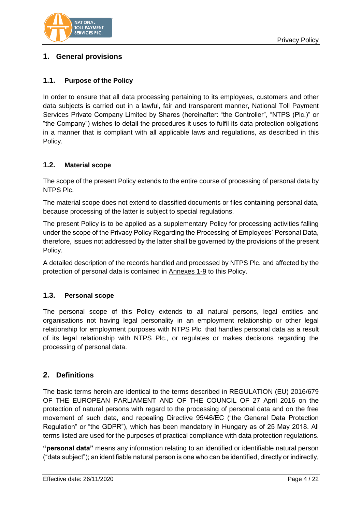

# <span id="page-3-0"></span>**1. General provisions**

# <span id="page-3-1"></span>**1.1. Purpose of the Policy**

In order to ensure that all data processing pertaining to its employees, customers and other data subjects is carried out in a lawful, fair and transparent manner, National Toll Payment Services Private Company Limited by Shares (hereinafter: "the Controller", "NTPS (Plc.)" or "the Company") wishes to detail the procedures it uses to fulfil its data protection obligations in a manner that is compliant with all applicable laws and regulations, as described in this Policy.

# <span id="page-3-2"></span>**1.2. Material scope**

The scope of the present Policy extends to the entire course of processing of personal data by NTPS Plc.

The material scope does not extend to classified documents or files containing personal data, because processing of the latter is subject to special regulations.

The present Policy is to be applied as a supplementary Policy for processing activities falling under the scope of the Privacy Policy Regarding the Processing of Employees' Personal Data, therefore, issues not addressed by the latter shall be governed by the provisions of the present Policy.

A detailed description of the records handled and processed by NTPS Plc. and affected by the protection of personal data is contained in Annexes 1-9 to this Policy.

# <span id="page-3-3"></span>**1.3. Personal scope**

The personal scope of this Policy extends to all natural persons, legal entities and organisations not having legal personality in an employment relationship or other legal relationship for employment purposes with NTPS Plc. that handles personal data as a result of its legal relationship with NTPS Plc., or regulates or makes decisions regarding the processing of personal data.

# <span id="page-3-4"></span>**2. Definitions**

The basic terms herein are identical to the terms described in REGULATION (EU) 2016/679 OF THE EUROPEAN PARLIAMENT AND OF THE COUNCIL OF 27 April 2016 on the protection of natural persons with regard to the processing of personal data and on the free movement of such data, and repealing Directive 95/46/EC ("the General Data Protection Regulation" or "the GDPR"), which has been mandatory in Hungary as of 25 May 2018. All terms listed are used for the purposes of practical compliance with data protection regulations.

**"personal data"** means any information relating to an identified or identifiable natural person ("data subject"); an identifiable natural person is one who can be identified, directly or indirectly,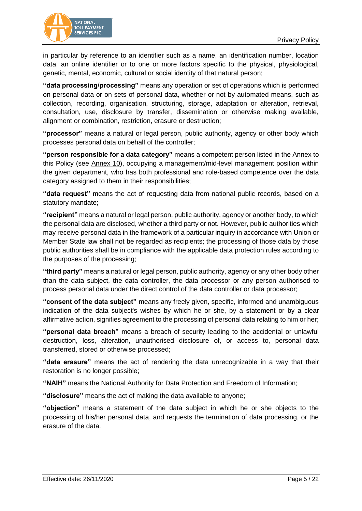

in particular by reference to an identifier such as a name, an identification number, location data, an online identifier or to one or more factors specific to the physical, physiological, genetic, mental, economic, cultural or social identity of that natural person;

**"data processing/processing"** means any operation or set of operations which is performed on personal data or on sets of personal data, whether or not by automated means, such as collection, recording, organisation, structuring, storage, adaptation or alteration, retrieval, consultation, use, disclosure by transfer, dissemination or otherwise making available, alignment or combination, restriction, erasure or destruction;

**"processor"** means a natural or legal person, public authority, agency or other body which processes personal data on behalf of the controller;

**"person responsible for a data category"** means a competent person listed in the Annex to this Policy (see Annex 10), occupying a management/mid-level management position within the given department, who has both professional and role-based competence over the data category assigned to them in their responsibilities;

**"data request"** means the act of requesting data from national public records, based on a statutory mandate;

**"recipient"** means a natural or legal person, public authority, agency or another body, to which the personal data are disclosed, whether a third party or not. However, public authorities which may receive personal data in the framework of a particular inquiry in accordance with Union or Member State law shall not be regarded as recipients; the processing of those data by those public authorities shall be in compliance with the applicable data protection rules according to the purposes of the processing;

**"third party"** means a natural or legal person, public authority, agency or any other body other than the data subject, the data controller, the data processor or any person authorised to process personal data under the direct control of the data controller or data processor;

**"consent of the data subject"** means any freely given, specific, informed and unambiguous indication of the data subject's wishes by which he or she, by a statement or by a clear affirmative action, signifies agreement to the processing of personal data relating to him or her;

**"personal data breach"** means a breach of security leading to the accidental or unlawful destruction, loss, alteration, unauthorised disclosure of, or access to, personal data transferred, stored or otherwise processed;

**"data erasure"** means the act of rendering the data unrecognizable in a way that their restoration is no longer possible;

**"NAIH"** means the National Authority for Data Protection and Freedom of Information;

**"disclosure"** means the act of making the data available to anyone;

**"objection"** means a statement of the data subject in which he or she objects to the processing of his/her personal data, and requests the termination of data processing, or the erasure of the data.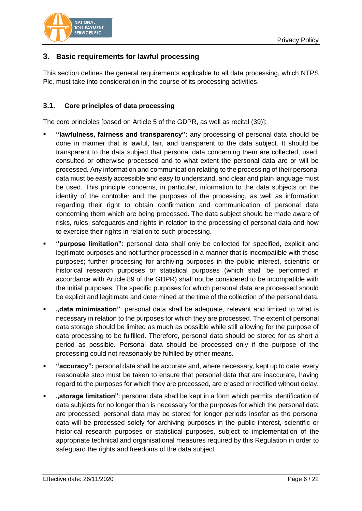

# <span id="page-5-0"></span>**3. Basic requirements for lawful processing**

This section defines the general requirements applicable to all data processing, which NTPS Plc. must take into consideration in the course of its processing activities.

## <span id="page-5-1"></span>**3.1. Core principles of data processing**

The core principles [based on Article 5 of the GDPR, as well as recital (39)]:

- **"lawfulness, fairness and transparency":** any processing of personal data should be done in manner that is lawful, fair, and transparent to the data subject. It should be transparent to the data subject that personal data concerning them are collected, used, consulted or otherwise processed and to what extent the personal data are or will be processed. Any information and communication relating to the processing of their personal data must be easily accessible and easy to understand, and clear and plain language must be used. This principle concerns, in particular, information to the data subjects on the identity of the controller and the purposes of the processing, as well as information regarding their right to obtain confirmation and communication of personal data concerning them which are being processed. The data subject should be made aware of risks, rules, safeguards and rights in relation to the processing of personal data and how to exercise their rights in relation to such processing.
- **"purpose limitation":** personal data shall only be collected for specified, explicit and legitimate purposes and not further processed in a manner that is incompatible with those purposes; further processing for archiving purposes in the public interest, scientific or historical research purposes or statistical purposes (which shall be performed in accordance with Article 89 of the GDPR) shall not be considered to be incompatible with the initial purposes. The specific purposes for which personal data are processed should be explicit and legitimate and determined at the time of the collection of the personal data.
- **"data minimisation"**: personal data shall be adequate, relevant and limited to what is necessary in relation to the purposes for which they are processed. The extent of personal data storage should be limited as much as possible while still allowing for the purpose of data processing to be fulfilled. Therefore, personal data should be stored for as short a period as possible. Personal data should be processed only if the purpose of the processing could not reasonably be fulfilled by other means.
- **"accuracy":** personal data shall be accurate and, where necessary, kept up to date; every reasonable step must be taken to ensure that personal data that are inaccurate, having regard to the purposes for which they are processed, are erased or rectified without delay.
- **"storage limitation"**: personal data shall be kept in a form which permits identification of data subjects for no longer than is necessary for the purposes for which the personal data are processed; personal data may be stored for longer periods insofar as the personal data will be processed solely for archiving purposes in the public interest, scientific or historical research purposes or statistical purposes, subject to implementation of the appropriate technical and organisational measures required by this Regulation in order to safeguard the rights and freedoms of the data subject.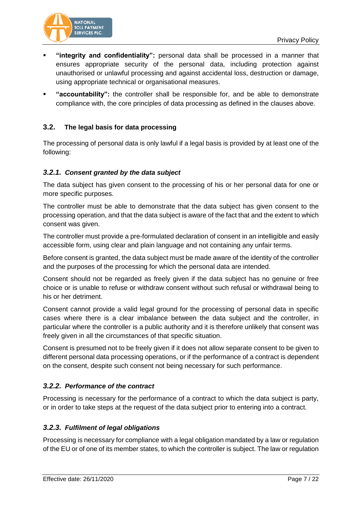

- **"integrity and confidentiality":** personal data shall be processed in a manner that ensures appropriate security of the personal data, including protection against unauthorised or unlawful processing and against accidental loss, destruction or damage, using appropriate technical or organisational measures.
- **"accountability":** the controller shall be responsible for, and be able to demonstrate compliance with, the core principles of data processing as defined in the clauses above.

# <span id="page-6-0"></span>**3.2. The legal basis for data processing**

The processing of personal data is only lawful if a legal basis is provided by at least one of the following:

# <span id="page-6-1"></span>*3.2.1. Consent granted by the data subject*

The data subject has given consent to the processing of his or her personal data for one or more specific purposes.

The controller must be able to demonstrate that the data subject has given consent to the processing operation, and that the data subject is aware of the fact that and the extent to which consent was given.

The controller must provide a pre-formulated declaration of consent in an intelligible and easily accessible form, using clear and plain language and not containing any unfair terms.

Before consent is granted, the data subject must be made aware of the identity of the controller and the purposes of the processing for which the personal data are intended.

Consent should not be regarded as freely given if the data subject has no genuine or free choice or is unable to refuse or withdraw consent without such refusal or withdrawal being to his or her detriment.

Consent cannot provide a valid legal ground for the processing of personal data in specific cases where there is a clear imbalance between the data subject and the controller, in particular where the controller is a public authority and it is therefore unlikely that consent was freely given in all the circumstances of that specific situation.

Consent is presumed not to be freely given if it does not allow separate consent to be given to different personal data processing operations, or if the performance of a contract is dependent on the consent, despite such consent not being necessary for such performance.

# <span id="page-6-2"></span>*3.2.2. Performance of the contract*

Processing is necessary for the performance of a contract to which the data subject is party, or in order to take steps at the request of the data subject prior to entering into a contract.

# <span id="page-6-3"></span>*3.2.3. Fulfilment of legal obligations*

Processing is necessary for compliance with a legal obligation mandated by a law or regulation of the EU or of one of its member states, to which the controller is subject. The law or regulation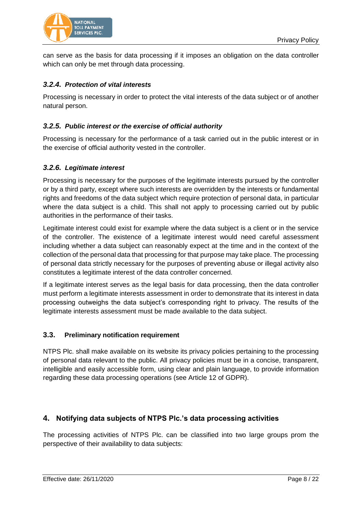



can serve as the basis for data processing if it imposes an obligation on the data controller which can only be met through data processing.

# <span id="page-7-0"></span>*3.2.4. Protection of vital interests*

Processing is necessary in order to protect the vital interests of the data subject or of another natural person.

# <span id="page-7-1"></span>*3.2.5. Public interest or the exercise of official authority*

Processing is necessary for the performance of a task carried out in the public interest or in the exercise of official authority vested in the controller.

#### <span id="page-7-2"></span>*3.2.6. Legitimate interest*

Processing is necessary for the purposes of the legitimate interests pursued by the controller or by a third party, except where such interests are overridden by the interests or fundamental rights and freedoms of the data subject which require protection of personal data, in particular where the data subject is a child. This shall not apply to processing carried out by public authorities in the performance of their tasks.

Legitimate interest could exist for example where the data subject is a client or in the service of the controller. The existence of a legitimate interest would need careful assessment including whether a data subject can reasonably expect at the time and in the context of the collection of the personal data that processing for that purpose may take place. The processing of personal data strictly necessary for the purposes of preventing abuse or illegal activity also constitutes a legitimate interest of the data controller concerned.

If a legitimate interest serves as the legal basis for data processing, then the data controller must perform a legitimate interests assessment in order to demonstrate that its interest in data processing outweighs the data subject's corresponding right to privacy. The results of the legitimate interests assessment must be made available to the data subject.

#### <span id="page-7-3"></span>**3.3. Preliminary notification requirement**

NTPS Plc. shall make available on its website its privacy policies pertaining to the processing of personal data relevant to the public. All privacy policies must be in a concise, transparent, intelligible and easily accessible form, using clear and plain language, to provide information regarding these data processing operations (see Article 12 of GDPR).

# <span id="page-7-4"></span>**4. Notifying data subjects of NTPS Plc.'s data processing activities**

The processing activities of NTPS Plc. can be classified into two large groups prom the perspective of their availability to data subjects: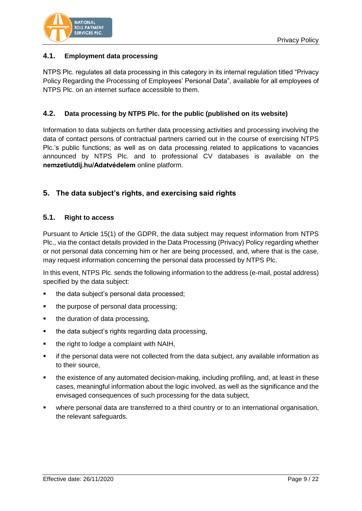

# <span id="page-8-0"></span>**4.1. Employment data processing**

NTPS Plc. regulates all data processing in this category in its internal regulation titled "Privacy Policy Regarding the Processing of Employees' Personal Data", available for all employees of NTPS Plc. on an internet surface accessible to them.

# <span id="page-8-1"></span>**4.2. Data processing by NTPS Plc. for the public (published on its website)**

Information to data subjects on further data processing activities and processing involving the data of contact persons of contractual partners carried out in the course of exercising NTPS Plc.'s public functions; as well as on data processing related to applications to vacancies announced by NTPS Plc. and to professional CV databases is available on the **nemzetiutdij.hu/Adatvédelem** online platform.

# <span id="page-8-2"></span>**5. The data subject's rights, and exercising said rights**

#### <span id="page-8-3"></span>**5.1. Right to access**

Pursuant to Article 15(1) of the GDPR, the data subject may request information from NTPS Plc., via the contact details provided in the Data Processing (Privacy) Policy regarding whether or not personal data concerning him or her are being processed, and, where that is the case, may request information concerning the personal data processed by NTPS Plc.

In this event, NTPS Plc. sends the following information to the address (e-mail, postal address) specified by the data subject:

- the data subject's personal data processed;
- the purpose of personal data processing;
- the duration of data processing,
- the data subject's rights regarding data processing,
- $\blacksquare$  the right to lodge a complaint with NAIH,
- if the personal data were not collected from the data subject, any available information as to their source,
- the existence of any automated decision-making, including profiling, and, at least in these cases, meaningful information about the logic involved, as well as the significance and the envisaged consequences of such processing for the data subject,
- where personal data are transferred to a third country or to an international organisation, the relevant safeguards.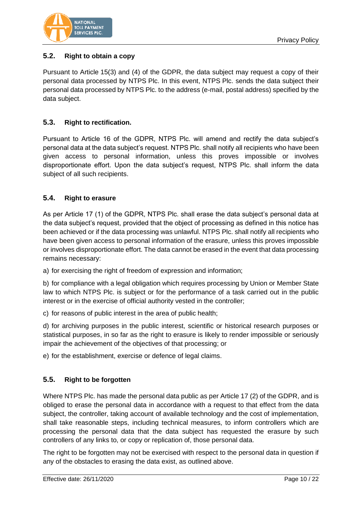

# <span id="page-9-0"></span>**5.2. Right to obtain a copy**

Pursuant to Article 15(3) and (4) of the GDPR, the data subject may request a copy of their personal data processed by NTPS Plc. In this event, NTPS Plc. sends the data subject their personal data processed by NTPS Plc. to the address (e-mail, postal address) specified by the data subject.

# <span id="page-9-1"></span>**5.3. Right to rectification.**

Pursuant to Article 16 of the GDPR, NTPS Plc. will amend and rectify the data subject's personal data at the data subject's request. NTPS Plc. shall notify all recipients who have been given access to personal information, unless this proves impossible or involves disproportionate effort. Upon the data subject's request, NTPS Plc. shall inform the data subject of all such recipients.

# <span id="page-9-2"></span>**5.4. Right to erasure**

As per Article 17 (1) of the GDPR, NTPS Plc. shall erase the data subject's personal data at the data subject's request, provided that the object of processing as defined in this notice has been achieved or if the data processing was unlawful. NTPS Plc. shall notify all recipients who have been given access to personal information of the erasure, unless this proves impossible or involves disproportionate effort. The data cannot be erased in the event that data processing remains necessary:

a) for exercising the right of freedom of expression and information;

b) for compliance with a legal obligation which requires processing by Union or Member State law to which NTPS Plc. is subject or for the performance of a task carried out in the public interest or in the exercise of official authority vested in the controller;

c) for reasons of public interest in the area of public health;

d) for archiving purposes in the public interest, scientific or historical research purposes or statistical purposes, in so far as the right to erasure is likely to render impossible or seriously impair the achievement of the objectives of that processing; or

e) for the establishment, exercise or defence of legal claims.

# <span id="page-9-3"></span>**5.5. Right to be forgotten**

Where NTPS Plc. has made the personal data public as per Article 17 (2) of the GDPR, and is obliged to erase the personal data in accordance with a request to that effect from the data subject, the controller, taking account of available technology and the cost of implementation, shall take reasonable steps, including technical measures, to inform controllers which are processing the personal data that the data subject has requested the erasure by such controllers of any links to, or copy or replication of, those personal data.

The right to be forgotten may not be exercised with respect to the personal data in question if any of the obstacles to erasing the data exist, as outlined above.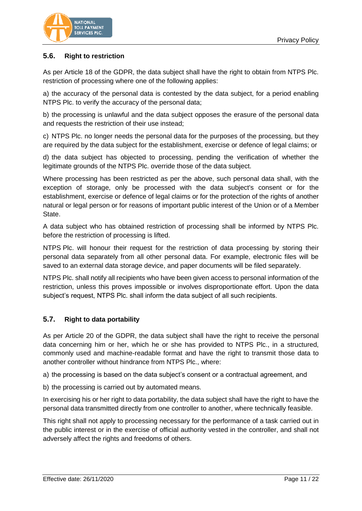

# <span id="page-10-0"></span>**5.6. Right to restriction**

As per Article 18 of the GDPR, the data subject shall have the right to obtain from NTPS Plc. restriction of processing where one of the following applies:

a) the accuracy of the personal data is contested by the data subject, for a period enabling NTPS Plc. to verify the accuracy of the personal data;

b) the processing is unlawful and the data subject opposes the erasure of the personal data and requests the restriction of their use instead;

c) NTPS Plc. no longer needs the personal data for the purposes of the processing, but they are required by the data subject for the establishment, exercise or defence of legal claims; or

d) the data subject has objected to processing, pending the verification of whether the legitimate grounds of the NTPS Plc. override those of the data subject.

Where processing has been restricted as per the above, such personal data shall, with the exception of storage, only be processed with the data subject's consent or for the establishment, exercise or defence of legal claims or for the protection of the rights of another natural or legal person or for reasons of important public interest of the Union or of a Member State.

A data subject who has obtained restriction of processing shall be informed by NTPS Plc. before the restriction of processing is lifted.

NTPS Plc. will honour their request for the restriction of data processing by storing their personal data separately from all other personal data. For example, electronic files will be saved to an external data storage device, and paper documents will be filed separately.

NTPS Plc. shall notify all recipients who have been given access to personal information of the restriction, unless this proves impossible or involves disproportionate effort. Upon the data subject's request, NTPS Plc. shall inform the data subject of all such recipients.

#### <span id="page-10-1"></span>**5.7. Right to data portability**

As per Article 20 of the GDPR, the data subject shall have the right to receive the personal data concerning him or her, which he or she has provided to NTPS Plc., in a structured, commonly used and machine-readable format and have the right to transmit those data to another controller without hindrance from NTPS Plc., where:

a) the processing is based on the data subject's consent or a contractual agreement, and

b) the processing is carried out by automated means.

In exercising his or her right to data portability, the data subject shall have the right to have the personal data transmitted directly from one controller to another, where technically feasible.

This right shall not apply to processing necessary for the performance of a task carried out in the public interest or in the exercise of official authority vested in the controller, and shall not adversely affect the rights and freedoms of others.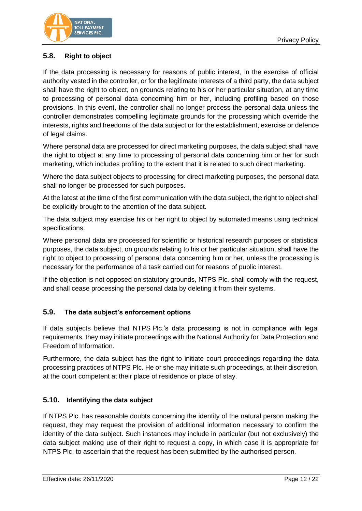

# <span id="page-11-0"></span>**5.8. Right to object**

If the data processing is necessary for reasons of public interest, in the exercise of official authority vested in the controller, or for the legitimate interests of a third party, the data subject shall have the right to object, on grounds relating to his or her particular situation, at any time to processing of personal data concerning him or her, including profiling based on those provisions. In this event, the controller shall no longer process the personal data unless the controller demonstrates compelling legitimate grounds for the processing which override the interests, rights and freedoms of the data subject or for the establishment, exercise or defence of legal claims.

Where personal data are processed for direct marketing purposes, the data subject shall have the right to object at any time to processing of personal data concerning him or her for such marketing, which includes profiling to the extent that it is related to such direct marketing.

Where the data subject objects to processing for direct marketing purposes, the personal data shall no longer be processed for such purposes.

At the latest at the time of the first communication with the data subject, the right to object shall be explicitly brought to the attention of the data subject.

The data subject may exercise his or her right to object by automated means using technical specifications.

Where personal data are processed for scientific or historical research purposes or statistical purposes, the data subject, on grounds relating to his or her particular situation, shall have the right to object to processing of personal data concerning him or her, unless the processing is necessary for the performance of a task carried out for reasons of public interest.

If the objection is not opposed on statutory grounds, NTPS Plc. shall comply with the request, and shall cease processing the personal data by deleting it from their systems.

# <span id="page-11-1"></span>**5.9. The data subject's enforcement options**

If data subjects believe that NTPS Plc.'s data processing is not in compliance with legal requirements, they may initiate proceedings with the National Authority for Data Protection and Freedom of Information.

Furthermore, the data subject has the right to initiate court proceedings regarding the data processing practices of NTPS Plc. He or she may initiate such proceedings, at their discretion, at the court competent at their place of residence or place of stay.

# <span id="page-11-2"></span>**5.10. Identifying the data subject**

If NTPS Plc. has reasonable doubts concerning the identity of the natural person making the request, they may request the provision of additional information necessary to confirm the identity of the data subject. Such instances may include in particular (but not exclusively) the data subject making use of their right to request a copy, in which case it is appropriate for NTPS Plc. to ascertain that the request has been submitted by the authorised person.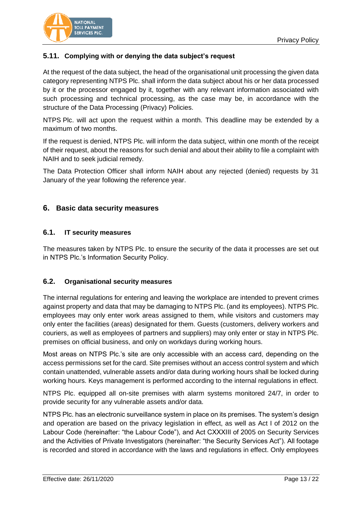

# <span id="page-12-0"></span>**5.11. Complying with or denying the data subject's request**

At the request of the data subject, the head of the organisational unit processing the given data category representing NTPS Plc. shall inform the data subject about his or her data processed by it or the processor engaged by it, together with any relevant information associated with such processing and technical processing, as the case may be, in accordance with the structure of the Data Processing (Privacy) Policies.

NTPS Plc. will act upon the request within a month. This deadline may be extended by a maximum of two months.

If the request is denied, NTPS Plc. will inform the data subject, within one month of the receipt of their request, about the reasons for such denial and about their ability to file a complaint with NAIH and to seek judicial remedy.

The Data Protection Officer shall inform NAIH about any rejected (denied) requests by 31 January of the year following the reference year.

# <span id="page-12-1"></span>**6. Basic data security measures**

#### <span id="page-12-2"></span>**6.1. IT security measures**

The measures taken by NTPS Plc. to ensure the security of the data it processes are set out in NTPS Plc.'s Information Security Policy.

#### <span id="page-12-3"></span>**6.2. Organisational security measures**

The internal regulations for entering and leaving the workplace are intended to prevent crimes against property and data that may be damaging to NTPS Plc. (and its employees). NTPS Plc. employees may only enter work areas assigned to them, while visitors and customers may only enter the facilities (areas) designated for them. Guests (customers, delivery workers and couriers, as well as employees of partners and suppliers) may only enter or stay in NTPS Plc. premises on official business, and only on workdays during working hours.

Most areas on NTPS Plc.'s site are only accessible with an access card, depending on the access permissions set for the card. Site premises without an access control system and which contain unattended, vulnerable assets and/or data during working hours shall be locked during working hours. Keys management is performed according to the internal regulations in effect.

NTPS Plc. equipped all on-site premises with alarm systems monitored 24/7, in order to provide security for any vulnerable assets and/or data.

NTPS Plc. has an electronic surveillance system in place on its premises. The system's design and operation are based on the privacy legislation in effect, as well as Act I of 2012 on the Labour Code (hereinafter: "the Labour Code"), and Act CXXXIII of 2005 on Security Services and the Activities of Private Investigators (hereinafter: "the Security Services Act"). All footage is recorded and stored in accordance with the laws and regulations in effect. Only employees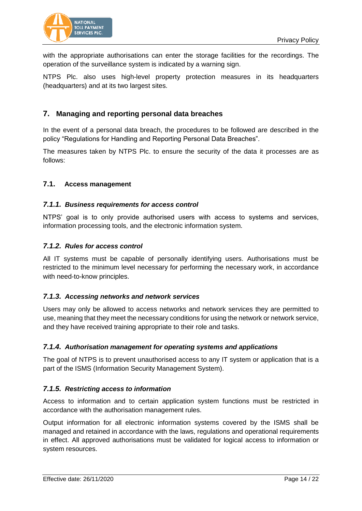

with the appropriate authorisations can enter the storage facilities for the recordings. The operation of the surveillance system is indicated by a warning sign.

NTPS Plc. also uses high-level property protection measures in its headquarters (headquarters) and at its two largest sites.

# <span id="page-13-0"></span>**7. Managing and reporting personal data breaches**

In the event of a personal data breach, the procedures to be followed are described in the policy "Regulations for Handling and Reporting Personal Data Breaches".

The measures taken by NTPS Plc. to ensure the security of the data it processes are as follows:

#### <span id="page-13-1"></span>**7.1. Access management**

#### <span id="page-13-2"></span>*7.1.1. Business requirements for access control*

NTPS' goal is to only provide authorised users with access to systems and services, information processing tools, and the electronic information system.

#### <span id="page-13-3"></span>*7.1.2. Rules for access control*

All IT systems must be capable of personally identifying users. Authorisations must be restricted to the minimum level necessary for performing the necessary work, in accordance with need-to-know principles.

#### <span id="page-13-4"></span>*7.1.3. Accessing networks and network services*

Users may only be allowed to access networks and network services they are permitted to use, meaning that they meet the necessary conditions for using the network or network service, and they have received training appropriate to their role and tasks.

#### <span id="page-13-5"></span>*7.1.4. Authorisation management for operating systems and applications*

The goal of NTPS is to prevent unauthorised access to any IT system or application that is a part of the ISMS (Information Security Management System).

#### <span id="page-13-6"></span>*7.1.5. Restricting access to information*

Access to information and to certain application system functions must be restricted in accordance with the authorisation management rules.

Output information for all electronic information systems covered by the ISMS shall be managed and retained in accordance with the laws, regulations and operational requirements in effect. All approved authorisations must be validated for logical access to information or system resources.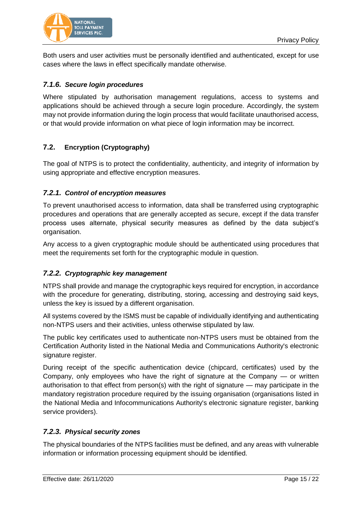

Both users and user activities must be personally identified and authenticated, except for use cases where the laws in effect specifically mandate otherwise.

# <span id="page-14-0"></span>*7.1.6. Secure login procedures*

Where stipulated by authorisation management regulations, access to systems and applications should be achieved through a secure login procedure. Accordingly, the system may not provide information during the login process that would facilitate unauthorised access, or that would provide information on what piece of login information may be incorrect.

# <span id="page-14-1"></span>**7.2. Encryption (Cryptography)**

The goal of NTPS is to protect the confidentiality, authenticity, and integrity of information by using appropriate and effective encryption measures.

# <span id="page-14-2"></span>*7.2.1. Control of encryption measures*

To prevent unauthorised access to information, data shall be transferred using cryptographic procedures and operations that are generally accepted as secure, except if the data transfer process uses alternate, physical security measures as defined by the data subject's organisation.

Any access to a given cryptographic module should be authenticated using procedures that meet the requirements set forth for the cryptographic module in question.

# <span id="page-14-3"></span>*7.2.2. Cryptographic key management*

NTPS shall provide and manage the cryptographic keys required for encryption, in accordance with the procedure for generating, distributing, storing, accessing and destroying said keys, unless the key is issued by a different organisation.

All systems covered by the ISMS must be capable of individually identifying and authenticating non-NTPS users and their activities, unless otherwise stipulated by law.

The public key certificates used to authenticate non-NTPS users must be obtained from the Certification Authority listed in the National Media and Communications Authority's electronic signature register.

During receipt of the specific authentication device (chipcard, certificates) used by the Company, only employees who have the right of signature at the Company — or written authorisation to that effect from person(s) with the right of signature — may participate in the mandatory registration procedure required by the issuing organisation (organisations listed in the National Media and Infocommunications Authority's electronic signature register, banking service providers).

# <span id="page-14-4"></span>*7.2.3. Physical security zones*

The physical boundaries of the NTPS facilities must be defined, and any areas with vulnerable information or information processing equipment should be identified.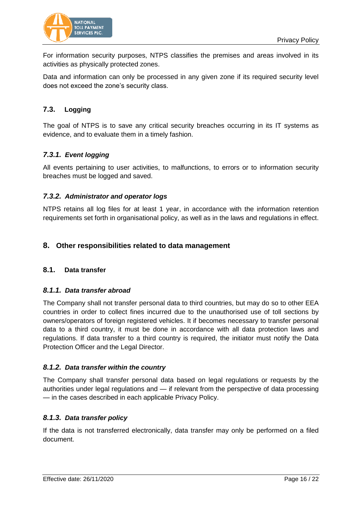

For information security purposes, NTPS classifies the premises and areas involved in its activities as physically protected zones.

Data and information can only be processed in any given zone if its required security level does not exceed the zone's security class.

# <span id="page-15-0"></span>**7.3. Logging**

The goal of NTPS is to save any critical security breaches occurring in its IT systems as evidence, and to evaluate them in a timely fashion.

# <span id="page-15-1"></span>*7.3.1. Event logging*

All events pertaining to user activities, to malfunctions, to errors or to information security breaches must be logged and saved.

# <span id="page-15-2"></span>*7.3.2. Administrator and operator logs*

NTPS retains all log files for at least 1 year, in accordance with the information retention requirements set forth in organisational policy, as well as in the laws and regulations in effect.

# <span id="page-15-3"></span>**8. Other responsibilities related to data management**

# <span id="page-15-4"></span>**8.1. Data transfer**

#### <span id="page-15-5"></span>*8.1.1. Data transfer abroad*

The Company shall not transfer personal data to third countries, but may do so to other EEA countries in order to collect fines incurred due to the unauthorised use of toll sections by owners/operators of foreign registered vehicles. It if becomes necessary to transfer personal data to a third country, it must be done in accordance with all data protection laws and regulations. If data transfer to a third country is required, the initiator must notify the Data Protection Officer and the Legal Director.

# <span id="page-15-6"></span>*8.1.2. Data transfer within the country*

The Company shall transfer personal data based on legal regulations or requests by the authorities under legal regulations and — if relevant from the perspective of data processing — in the cases described in each applicable Privacy Policy.

# <span id="page-15-7"></span>*8.1.3. Data transfer policy*

If the data is not transferred electronically, data transfer may only be performed on a filed document.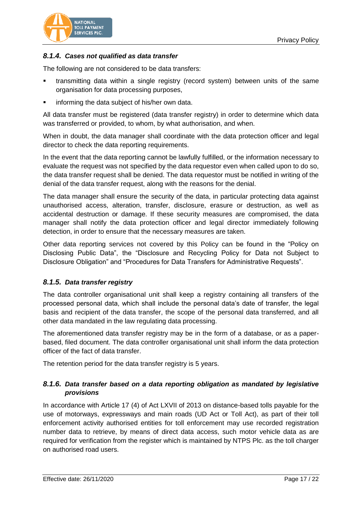

# <span id="page-16-0"></span>*8.1.4. Cases not qualified as data transfer*

The following are not considered to be data transfers:

- transmitting data within a single registry (record system) between units of the same organisation for data processing purposes,
- informing the data subject of his/her own data.

All data transfer must be registered (data transfer registry) in order to determine which data was transferred or provided, to whom, by what authorisation, and when.

When in doubt, the data manager shall coordinate with the data protection officer and legal director to check the data reporting requirements.

In the event that the data reporting cannot be lawfully fulfilled, or the information necessary to evaluate the request was not specified by the data requestor even when called upon to do so, the data transfer request shall be denied. The data requestor must be notified in writing of the denial of the data transfer request, along with the reasons for the denial.

The data manager shall ensure the security of the data, in particular protecting data against unauthorised access, alteration, transfer, disclosure, erasure or destruction, as well as accidental destruction or damage. If these security measures are compromised, the data manager shall notify the data protection officer and legal director immediately following detection, in order to ensure that the necessary measures are taken.

Other data reporting services not covered by this Policy can be found in the "Policy on Disclosing Public Data", the "Disclosure and Recycling Policy for Data not Subject to Disclosure Obligation" and "Procedures for Data Transfers for Administrative Requests".

# <span id="page-16-1"></span>*8.1.5. Data transfer registry*

The data controller organisational unit shall keep a registry containing all transfers of the processed personal data, which shall include the personal data's date of transfer, the legal basis and recipient of the data transfer, the scope of the personal data transferred, and all other data mandated in the law regulating data processing.

The aforementioned data transfer registry may be in the form of a database, or as a paperbased, filed document. The data controller organisational unit shall inform the data protection officer of the fact of data transfer.

The retention period for the data transfer registry is 5 years.

# <span id="page-16-2"></span>*8.1.6. Data transfer based on a data reporting obligation as mandated by legislative provisions*

In accordance with Article 17 (4) of Act LXVII of 2013 on distance-based tolls payable for the use of motorways, expressways and main roads (UD Act or Toll Act), as part of their toll enforcement activity authorised entities for toll enforcement may use recorded registration number data to retrieve, by means of direct data access, such motor vehicle data as are required for verification from the register which is maintained by NTPS Plc. as the toll charger on authorised road users.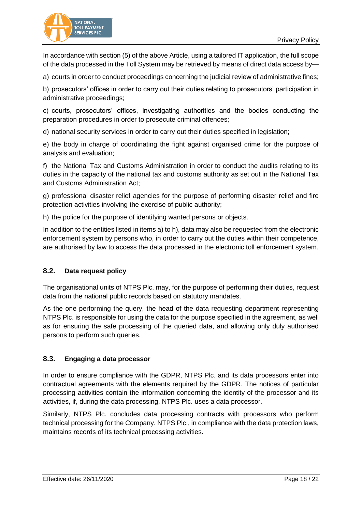

In accordance with section (5) of the above Article, using a tailored IT application, the full scope of the data processed in the Toll System may be retrieved by means of direct data access by—

a) courts in order to conduct proceedings concerning the judicial review of administrative fines;

b) prosecutors' offices in order to carry out their duties relating to prosecutors' participation in administrative proceedings;

c) courts, prosecutors' offices, investigating authorities and the bodies conducting the preparation procedures in order to prosecute criminal offences;

d) national security services in order to carry out their duties specified in legislation;

e) the body in charge of coordinating the fight against organised crime for the purpose of analysis and evaluation;

f) the National Tax and Customs Administration in order to conduct the audits relating to its duties in the capacity of the national tax and customs authority as set out in the National Tax and Customs Administration Act;

g) professional disaster relief agencies for the purpose of performing disaster relief and fire protection activities involving the exercise of public authority;

h) the police for the purpose of identifying wanted persons or objects.

In addition to the entities listed in items a) to h), data may also be requested from the electronic enforcement system by persons who, in order to carry out the duties within their competence, are authorised by law to access the data processed in the electronic toll enforcement system.

# <span id="page-17-0"></span>**8.2. Data request policy**

The organisational units of NTPS Plc. may, for the purpose of performing their duties, request data from the national public records based on statutory mandates.

As the one performing the query, the head of the data requesting department representing NTPS Plc. is responsible for using the data for the purpose specified in the agreement, as well as for ensuring the safe processing of the queried data, and allowing only duly authorised persons to perform such queries.

# <span id="page-17-1"></span>**8.3. Engaging a data processor**

In order to ensure compliance with the GDPR, NTPS Plc. and its data processors enter into contractual agreements with the elements required by the GDPR. The notices of particular processing activities contain the information concerning the identity of the processor and its activities, if, during the data processing, NTPS Plc. uses a data processor.

Similarly, NTPS Plc. concludes data processing contracts with processors who perform technical processing for the Company. NTPS Plc., in compliance with the data protection laws, maintains records of its technical processing activities.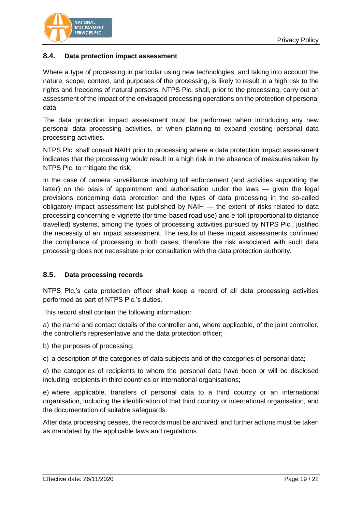

# <span id="page-18-0"></span>**8.4. Data protection impact assessment**

Where a type of processing in particular using new technologies, and taking into account the nature, scope, context, and purposes of the processing, is likely to result in a high risk to the rights and freedoms of natural persons, NTPS Plc. shall, prior to the processing, carry out an assessment of the impact of the envisaged processing operations on the protection of personal data.

The data protection impact assessment must be performed when introducing any new personal data processing activities, or when planning to expand existing personal data processing activities.

NTPS Plc. shall consult NAIH prior to processing where a data protection impact assessment indicates that the processing would result in a high risk in the absence of measures taken by NTPS Plc. to mitigate the risk.

In the case of camera surveillance involving toll enforcement (and activities supporting the latter) on the basis of appointment and authorisation under the laws — given the legal provisions concerning data protection and the types of data processing in the so-called obligatory impact assessment list published by NAIH — the extent of risks related to data processing concerning e-vignette (for time-based road use) and e-toll (proportional to distance travelled) systems, among the types of processing activities pursued by NTPS Plc., justified the necessity of an impact assessment. The results of these impact assessments confirmed the compliance of processing in both cases, therefore the risk associated with such data processing does not necessitate prior consultation with the data protection authority.

#### <span id="page-18-1"></span>**8.5. Data processing records**

NTPS Plc.'s data protection officer shall keep a record of all data processing activities performed as part of NTPS Plc.'s duties.

This record shall contain the following information:

a) the name and contact details of the controller and, where applicable, of the joint controller, the controller's representative and the data protection officer;

b) the purposes of processing;

c) a description of the categories of data subjects and of the categories of personal data;

d) the categories of recipients to whom the personal data have been or will be disclosed including recipients in third countries or international organisations;

e) where applicable, transfers of personal data to a third country or an international organisation, including the identification of that third country or international organisation, and the documentation of suitable safeguards.

After data processing ceases, the records must be archived, and further actions must be taken as mandated by the applicable laws and regulations.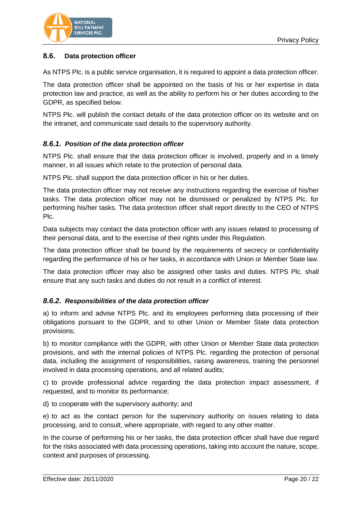

# <span id="page-19-0"></span>**8.6. Data protection officer**

As NTPS Plc. is a public service organisation, it is required to appoint a data protection officer.

The data protection officer shall be appointed on the basis of his or her expertise in data protection law and practice, as well as the ability to perform his or her duties according to the GDPR, as specified below.

NTPS Plc. will publish the contact details of the data protection officer on its website and on the intranet, and communicate said details to the supervisory authority.

#### <span id="page-19-1"></span>*8.6.1. Position of the data protection officer*

NTPS Plc. shall ensure that the data protection officer is involved, properly and in a timely manner, in all issues which relate to the protection of personal data.

NTPS Plc. shall support the data protection officer in his or her duties.

The data protection officer may not receive any instructions regarding the exercise of his/her tasks. The data protection officer may not be dismissed or penalized by NTPS Plc. for performing his/her tasks. The data protection officer shall report directly to the CEO of NTPS Plc.

Data subjects may contact the data protection officer with any issues related to processing of their personal data, and to the exercise of their rights under this Regulation.

The data protection officer shall be bound by the requirements of secrecy or confidentiality regarding the performance of his or her tasks, in accordance with Union or Member State law.

The data protection officer may also be assigned other tasks and duties. NTPS Plc. shall ensure that any such tasks and duties do not result in a conflict of interest.

#### <span id="page-19-2"></span>*8.6.2. Responsibilities of the data protection officer*

a) to inform and advise NTPS Plc. and its employees performing data processing of their obligations pursuant to the GDPR, and to other Union or Member State data protection provisions;

b) to monitor compliance with the GDPR, with other Union or Member State data protection provisions, and with the internal policies of NTPS Plc. regarding the protection of personal data, including the assignment of responsibilities, raising awareness, training the personnel involved in data processing operations, and all related audits;

c) to provide professional advice regarding the data protection impact assessment, if requested, and to monitor its performance;

d) to cooperate with the supervisory authority; and

e) to act as the contact person for the supervisory authority on issues relating to data processing, and to consult, where appropriate, with regard to any other matter.

In the course of performing his or her tasks, the data protection officer shall have due regard for the risks associated with data processing operations, taking into account the nature, scope, context and purposes of processing.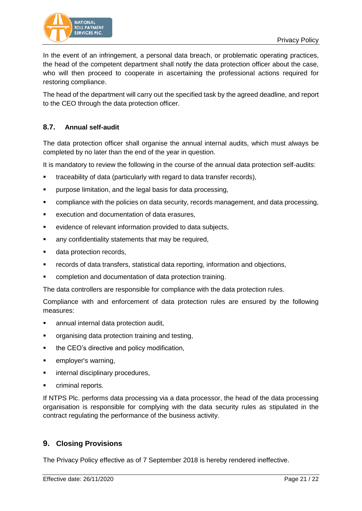

In the event of an infringement, a personal data breach, or problematic operating practices, the head of the competent department shall notify the data protection officer about the case, who will then proceed to cooperate in ascertaining the professional actions required for restoring compliance.

The head of the department will carry out the specified task by the agreed deadline, and report to the CEO through the data protection officer.

# <span id="page-20-0"></span>**8.7. Annual self-audit**

The data protection officer shall organise the annual internal audits, which must always be completed by no later than the end of the year in question.

It is mandatory to review the following in the course of the annual data protection self-audits:

- **traceability of data (particularly with regard to data transfer records).**
- **Parage 1** purpose limitation, and the legal basis for data processing,
- **compliance with the policies on data security, records management, and data processing,**
- **EXECUTE 2018 INCOCO EXAMPLE 10 FEATLE EXECUTION And documentation of data erasures,**
- evidence of relevant information provided to data subjects,
- **a** any confidentiality statements that may be required,
- **data protection records,**
- records of data transfers, statistical data reporting, information and objections,
- completion and documentation of data protection training.

The data controllers are responsible for compliance with the data protection rules.

Compliance with and enforcement of data protection rules are ensured by the following measures:

- annual internal data protection audit,
- **•** organising data protection training and testing,
- the CEO's directive and policy modification,
- **EXECUTE:** employer's warning,
- **EXECUTE:** internal disciplinary procedures,
- **•** criminal reports.

If NTPS Plc. performs data processing via a data processor, the head of the data processing organisation is responsible for complying with the data security rules as stipulated in the contract regulating the performance of the business activity.

# <span id="page-20-1"></span>**9. Closing Provisions**

The Privacy Policy effective as of 7 September 2018 is hereby rendered ineffective.